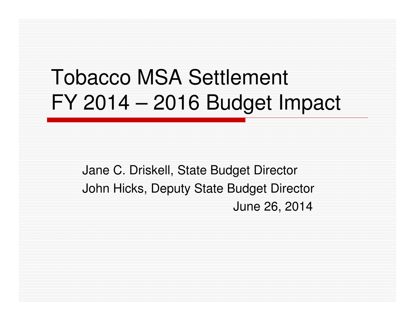# Tobacco MSA SettlementFY 2014 – 2016 Budget Impact

Jane C. Driskell, State Budget DirectorJohn Hicks, Deputy State Budget DirectorJune 26, 2014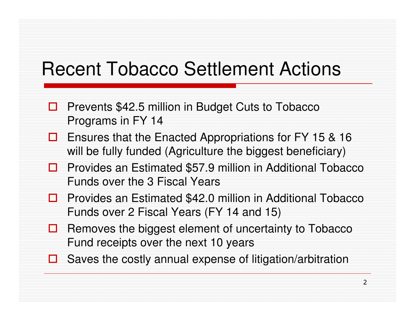## Recent Tobacco Settlement Actions

- П Prevents \$42.5 million in Budget Cuts to Tobacco Programs in FY 14
- Ensures that the Enacted Appropriations for FY 15 & 16 will be fully funded (Agriculture the biggest beneficiary)
- **Provides an Estimated \$57.9 million in Additional Tobacco**<br>Funds over the 3 Fiscal Years Funds over the 3 Fiscal Years
- **D** Provides an Estimated \$42.0 million in Additional Tobacco  $\overline{F}$ Funds over 2 Fiscal Years (FY 14 and 15)
- $\Box$  Removes the biggest element of uncertainty to Tobacco Fund receipts over the next 10 years
- $\Box$  Saves the costly annual expense of litigation/arbitration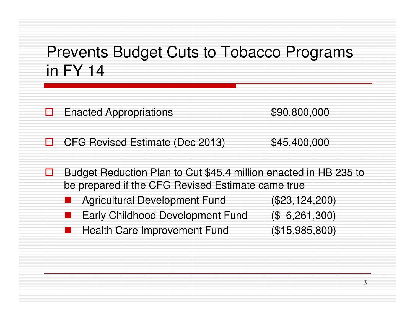### Prevents Budget Cuts to Tobacco Programs in FY 14

□ Enacted Appropriations  $$90,800,000$ 

П CFG Revised Estimate (Dec 2013) \$45,400,000

- П. Budget Reduction Plan to Cut \$45.4 million enacted in HB 235 to be prepared if the CFG Revised Estimate came true
	- -Agricultural Development Fund (\$23,124,200)
	- Early Childhood Development Fund (\$ 6,261,300)
	- -Health Care Improvement Fund (\$15,985,800)
- 

3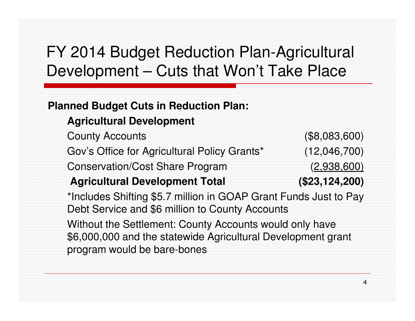### FY 2014 Budget Reduction Plan-Agricultural Development – Cuts that Won't Take Place

#### **Planned Budget Cuts in Reduction Plan:**

#### **Agricultural Development**

County Accounts (\$8,083,600)Gov's Office for Agricultural Policy Grants\* (12,046,700)Conservation/Cost Share Program (2,938,600)

#### **Agricultural Development Total (\$23,124,200)**

\*Includes Shifting \$5.7 million in GOAP Grant Funds Just to Pay Debt Service and \$6 million to County Accounts

Without the Settlement: County Accounts would only have \$6,000,000 and the statewide Agricultural Development grant program would be bare-bones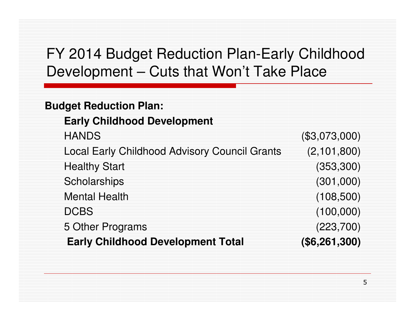### FY 2014 Budget Reduction Plan-Early Childhood Development – Cuts that Won't Take Place

#### **Budget Reduction Plan:**

#### **Early Childhood Development**

| <b>Early Childhood Development Total</b>             | (\$6,261,300) |
|------------------------------------------------------|---------------|
| 5 Other Programs                                     | (223, 700)    |
| <b>DCBS</b>                                          | (100,000)     |
| <b>Mental Health</b>                                 | (108, 500)    |
| Scholarships                                         | (301,000)     |
| <b>Healthy Start</b>                                 | (353, 300)    |
| <b>Local Early Childhood Advisory Council Grants</b> | (2, 101, 800) |
| <b>HANDS</b>                                         | (\$3,073,000) |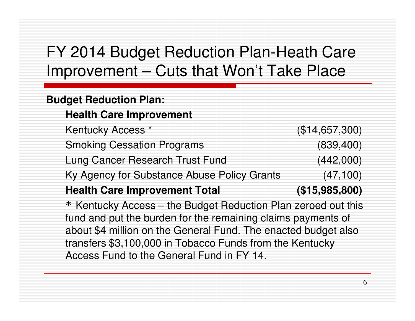### FY 2014 Budget Reduction Plan-Heath Care Improvement – Cuts that Won't Take Place

#### **Budget Reduction Plan:**

#### **Health Care Improvement**

| Kentucky Access <sup>*</sup>                                   | (\$14,657,300) |  |  |
|----------------------------------------------------------------|----------------|--|--|
| <b>Smoking Cessation Programs</b>                              | (839, 400)     |  |  |
| Lung Cancer Research Trust Fund                                | (442,000)      |  |  |
| Ky Agency for Substance Abuse Policy Grants                    | (47, 100)      |  |  |
| <b>Health Care Improvement Total</b>                           | (\$15,985,800) |  |  |
| * Kentucky Access – the Budget Reduction Plan zeroed out this  |                |  |  |
| fund and put the burden for the remaining claims payments of   |                |  |  |
| about \$4 million on the General Fund. The enacted budget also |                |  |  |
| transfers \$3,100,000 in Tobacco Funds from the Kentucky       |                |  |  |
| Access Fund to the General Fund in FY 14.                      |                |  |  |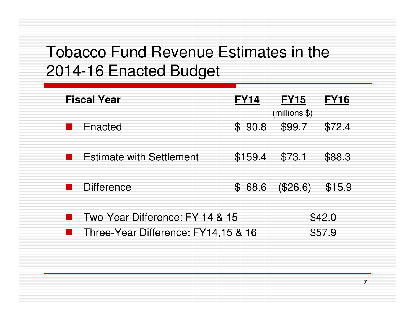### Tobacco Fund Revenue Estimates in the 2014-16 Enacted Budget

| <b>Fiscal Year</b>                  | <b>FY14</b>           | <b>FY15</b><br>$(millions$ \$) | <b>FY16</b> |
|-------------------------------------|-----------------------|--------------------------------|-------------|
| Enacted                             | 90.8<br>$\mathcal{S}$ | \$99.7                         | \$72.4      |
| <b>Estimate with Settlement</b>     | \$159.4               | \$73.1                         | \$88.3      |
| <b>Difference</b>                   | 68.6<br>${\cal S}$    | (\$26.6)                       | \$15.9      |
| Two-Year Difference: FY 14 & 15     |                       |                                | \$42.0      |
| Three-Year Difference: FY14,15 & 16 |                       |                                | \$57.9      |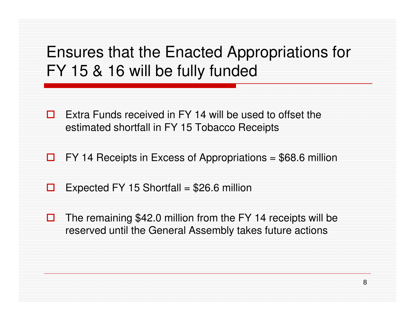### Ensures that the Enacted Appropriations for FY 15 & 16 will be fully funded

- П Extra Funds received in FY 14 will be used to offset the estimated shortfall in FY 15 Tobacco Receipts
- $\Box$ FY 14 Receipts in Excess of Appropriations = \$68.6 million
- $\Box$ Expected FY 15 Shortfall =  $$26.6$  million
- ⊔ The remaining \$42.0 million from the FY 14 receipts will be reserved until the General Assembly takes future actions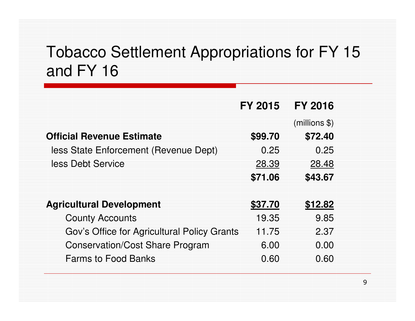### Tobacco Settlement Appropriations for FY 15 and FY 16

|                                             | FY 2015 | <b>FY 2016</b> |
|---------------------------------------------|---------|----------------|
|                                             |         | (millions \$)  |
| <b>Official Revenue Estimate</b>            | \$99.70 | \$72.40        |
| less State Enforcement (Revenue Dept)       | 0.25    | 0.25           |
| less Debt Service                           | 28.39   | 28.48          |
|                                             | \$71.06 | \$43.67        |
|                                             |         |                |
| <b>Agricultural Development</b>             | \$37.70 | \$12.82        |
| <b>County Accounts</b>                      | 19.35   | 9.85           |
| Gov's Office for Agricultural Policy Grants | 11.75   | 2.37           |
| <b>Conservation/Cost Share Program</b>      | 6.00    | 0.00           |
| <b>Farms to Food Banks</b>                  | 0.60    | 0.60           |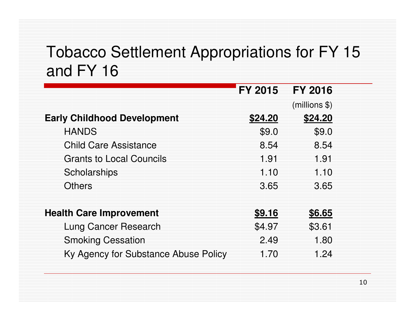### Tobacco Settlement Appropriations for FY 15 and FY 16

|                                      | <b>FY 2015</b> | <b>FY 2016</b> |
|--------------------------------------|----------------|----------------|
|                                      |                | (millions \$)  |
| <b>Early Childhood Development</b>   | \$24.20        | \$24.20        |
| <b>HANDS</b>                         | \$9.0          | \$9.0          |
| <b>Child Care Assistance</b>         | 8.54           | 8.54           |
| <b>Grants to Local Councils</b>      | 1.91           | 1.91           |
| Scholarships                         | 1.10           | 1.10           |
| <b>Others</b>                        | 3.65           | 3.65           |
| <b>Health Care Improvement</b>       | \$9.16         | \$6.65         |
| Lung Cancer Research                 | \$4.97         | \$3.61         |
| <b>Smoking Cessation</b>             | 2.49           | 1.80           |
| Ky Agency for Substance Abuse Policy | 1.70           | 1.24           |